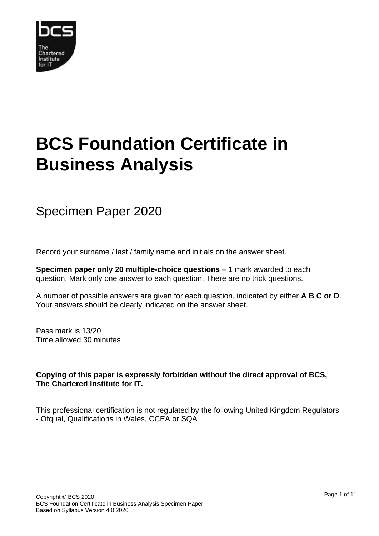

## **BCS Foundation Certificate in Business Analysis**

## Specimen Paper 2020

Record your surname / last / family name and initials on the answer sheet.

**Specimen paper only 20 multiple-choice questions** – 1 mark awarded to each question. Mark only one answer to each question. There are no trick questions.

A number of possible answers are given for each question, indicated by either **A B C or D**. Your answers should be clearly indicated on the answer sheet.

Pass mark is 13/20 Time allowed 30 minutes

**Copying of this paper is expressly forbidden without the direct approval of BCS, The Chartered Institute for IT.**

This professional certification is not regulated by the following United Kingdom Regulators - Ofqual, Qualifications in Wales, CCEA or SQA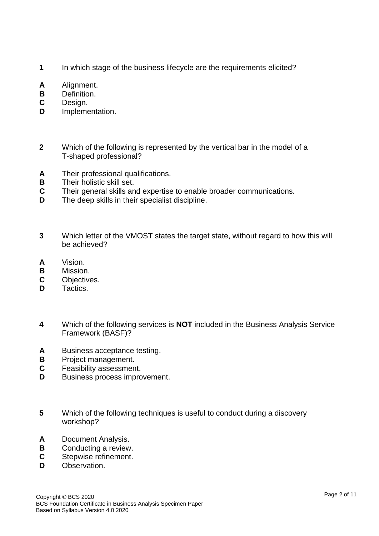- **1** In which stage of the business lifecycle are the requirements elicited?
- **A** Alignment.
- **B** Definition.
- **C** Design.
- **D** Implementation.
- **2** Which of the following is represented by the vertical bar in the model of a T-shaped professional?
- **A** Their professional qualifications.
- **B** Their holistic skill set.
- **C** Their general skills and expertise to enable broader communications.
- **D** The deep skills in their specialist discipline.
- **3** Which letter of the VMOST states the target state, without regard to how this will be achieved?
- **A** Vision.
- **B** Mission.
- **C** Objectives.
- **D** Tactics.
- **4** Which of the following services is **NOT** included in the Business Analysis Service Framework (BASF)?
- **A** Business acceptance testing.
- **B** Project management.
- **C** Feasibility assessment.
- **D** Business process improvement.
- **5** Which of the following techniques is useful to conduct during a discovery workshop?
- **A** Document Analysis.
- **B** Conducting a review.
- **C** Stepwise refinement.
- **D** Observation.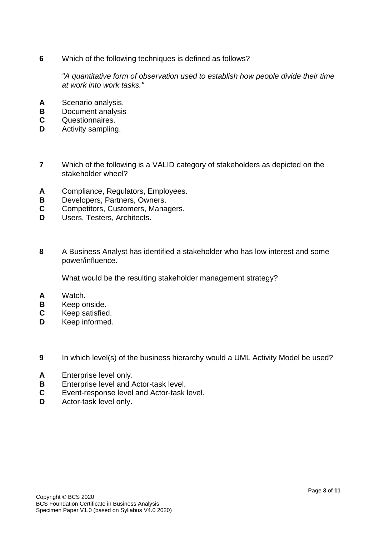**6** Which of the following techniques is defined as follows?

*"A quantitative form of observation used to establish how people divide their time at work into work tasks."*

- **A** Scenario analysis.
- **B** Document analysis
- **C** Questionnaires.
- **D** Activity sampling.
- **7** Which of the following is a VALID category of stakeholders as depicted on the stakeholder wheel?
- **A** Compliance, Regulators, Employees.
- **B** Developers, Partners, Owners.
- **C** Competitors, Customers, Managers.
- **D** Users, Testers, Architects.
- **8** A Business Analyst has identified a stakeholder who has low interest and some power/influence.

What would be the resulting stakeholder management strategy?

- **A** Watch.
- **B** Keep onside.
- **C** Keep satisfied.
- **D** Keep informed.
- **9** In which level(s) of the business hierarchy would a UML Activity Model be used?
- **A** Enterprise level only.
- **B** Enterprise level and Actor-task level.
- **C** Event-response level and Actor-task level.
- **D** Actor-task level only.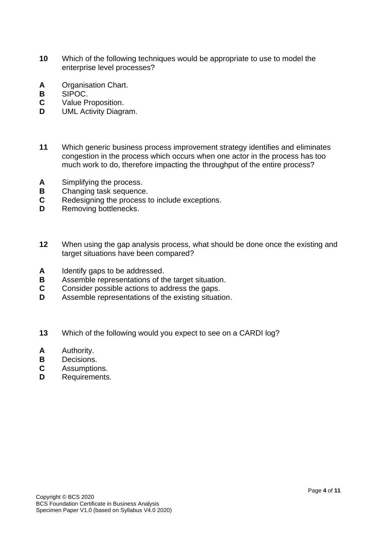- **10** Which of the following techniques would be appropriate to use to model the enterprise level processes?
- **A** Organisation Chart.
- **B** SIPOC.
- **C** Value Proposition.
- **D** UML Activity Diagram.
- **11** Which generic business process improvement strategy identifies and eliminates congestion in the process which occurs when one actor in the process has too much work to do, therefore impacting the throughput of the entire process?
- **A** Simplifying the process.
- **B** Changing task sequence.
- **C** Redesigning the process to include exceptions.
- **D** Removing bottlenecks.
- **12** When using the gap analysis process, what should be done once the existing and target situations have been compared?
- **A** Identify gaps to be addressed.
- **B** Assemble representations of the target situation.
- **C** Consider possible actions to address the gaps.
- **D** Assemble representations of the existing situation.
- **13** Which of the following would you expect to see on a CARDI log?
- **A** Authority.
- **B** Decisions.
- **C** Assumptions.
- **D** Requirements.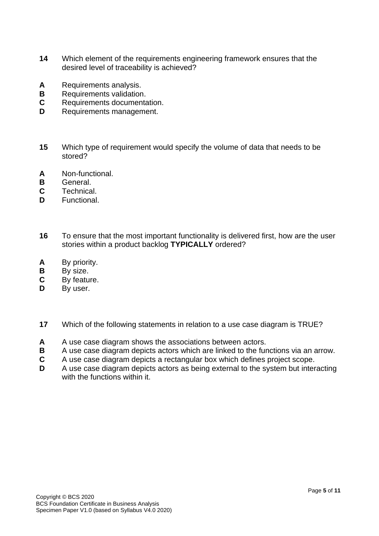- **14** Which element of the requirements engineering framework ensures that the desired level of traceability is achieved?
- **A** Requirements analysis.
- **B** Requirements validation.
- **C** Requirements documentation.
- **D** Requirements management.
- **15** Which type of requirement would specify the volume of data that needs to be stored?
- **A** Non-functional.
- **B** General.
- **C** Technical.
- **D** Functional.
- **16** To ensure that the most important functionality is delivered first, how are the user stories within a product backlog **TYPICALLY** ordered?
- **A** By priority.
- **B** By size.
- **C** By feature.
- **D** By user.
- **17** Which of the following statements in relation to a use case diagram is TRUE?
- **A** A use case diagram shows the associations between actors.
- **B** A use case diagram depicts actors which are linked to the functions via an arrow.
- **C** A use case diagram depicts a rectangular box which defines project scope.
- **D** A use case diagram depicts actors as being external to the system but interacting with the functions within it.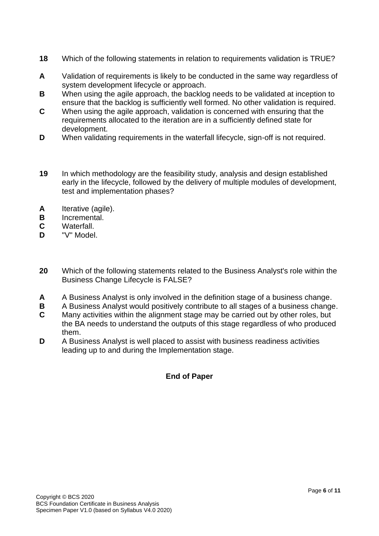- **18** Which of the following statements in relation to requirements validation is TRUE?
- **A** Validation of requirements is likely to be conducted in the same way regardless of system development lifecycle or approach.
- **B** When using the agile approach, the backlog needs to be validated at inception to ensure that the backlog is sufficiently well formed. No other validation is required.
- **C** When using the agile approach, validation is concerned with ensuring that the requirements allocated to the iteration are in a sufficiently defined state for development.
- **D** When validating requirements in the waterfall lifecycle, sign-off is not required.
- **19** In which methodology are the feasibility study, analysis and design established early in the lifecycle, followed by the delivery of multiple modules of development, test and implementation phases?
- **A** Iterative (agile).
- **B** Incremental.
- **C** Waterfall.
- **D** "V" Model.
- **20** Which of the following statements related to the Business Analyst's role within the Business Change Lifecycle is FALSE?
- **A** A Business Analyst is only involved in the definition stage of a business change.
- **B** A Business Analyst would positively contribute to all stages of a business change.
- **C** Many activities within the alignment stage may be carried out by other roles, but the BA needs to understand the outputs of this stage regardless of who produced them.
- **D** A Business Analyst is well placed to assist with business readiness activities leading up to and during the Implementation stage.

## **End of Paper**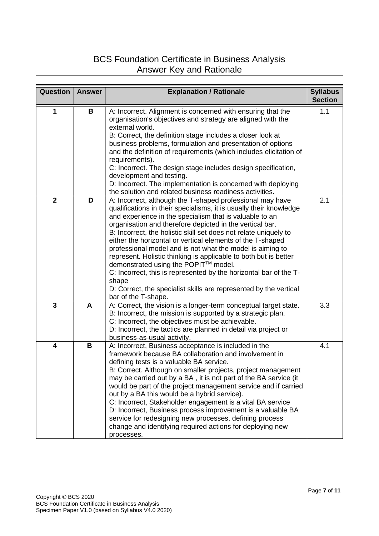## BCS Foundation Certificate in Business Analysis Answer Key and Rationale

| <b>Question</b> | <b>Answer</b> | <b>Explanation / Rationale</b>                                                                                                                                                                                                                                                                                                                                                                                                                                                                                                                                                                                                                                                                                                              | <b>Syllabus</b><br><b>Section</b> |
|-----------------|---------------|---------------------------------------------------------------------------------------------------------------------------------------------------------------------------------------------------------------------------------------------------------------------------------------------------------------------------------------------------------------------------------------------------------------------------------------------------------------------------------------------------------------------------------------------------------------------------------------------------------------------------------------------------------------------------------------------------------------------------------------------|-----------------------------------|
| 1               | B             | A: Incorrect. Alignment is concerned with ensuring that the<br>organisation's objectives and strategy are aligned with the<br>external world.<br>B: Correct, the definition stage includes a closer look at<br>business problems, formulation and presentation of options<br>and the definition of requirements (which includes elicitation of<br>requirements).<br>C: Incorrect. The design stage includes design specification,<br>development and testing.<br>D: Incorrect. The implementation is concerned with deploying<br>the solution and related business readiness activities.                                                                                                                                                    | 1.1                               |
| $\mathbf{2}$    | D             | A: Incorrect, although the T-shaped professional may have<br>qualifications in their specialisms, it is usually their knowledge<br>and experience in the specialism that is valuable to an<br>organisation and therefore depicted in the vertical bar.<br>B: Incorrect, the holistic skill set does not relate uniquely to<br>either the horizontal or vertical elements of the T-shaped<br>professional model and is not what the model is aiming to<br>represent. Holistic thinking is applicable to both but is better<br>demonstrated using the POPIT™ model.<br>C: Incorrect, this is represented by the horizontal bar of the T-<br>shape<br>D: Correct, the specialist skills are represented by the vertical<br>bar of the T-shape. | 2.1                               |
| 3               | A             | A: Correct, the vision is a longer-term conceptual target state.<br>B: Incorrect, the mission is supported by a strategic plan.<br>C: Incorrect, the objectives must be achievable.<br>D: Incorrect, the tactics are planned in detail via project or<br>business-as-usual activity.                                                                                                                                                                                                                                                                                                                                                                                                                                                        | 3.3                               |
| 4               | B             | A: Incorrect, Business acceptance is included in the<br>framework because BA collaboration and involvement in<br>defining tests is a valuable BA service.<br>B: Correct. Although on smaller projects, project management<br>may be carried out by a BA, it is not part of the BA service (it<br>would be part of the project management service and if carried<br>out by a BA this would be a hybrid service).<br>C: Incorrect, Stakeholder engagement is a vital BA service<br>D: Incorrect, Business process improvement is a valuable BA<br>service for redesigning new processes, defining process<br>change and identifying required actions for deploying new<br>processes.                                                          | 4.1                               |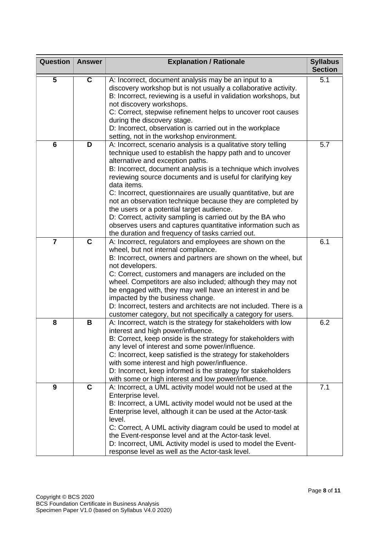| <b>Question</b>         | <b>Answer</b>           | <b>Explanation / Rationale</b>                                                                                                                                                                                                                                                                                                                                                                                                                                                                                                                                                                                                                                                | <b>Syllabus</b><br><b>Section</b> |
|-------------------------|-------------------------|-------------------------------------------------------------------------------------------------------------------------------------------------------------------------------------------------------------------------------------------------------------------------------------------------------------------------------------------------------------------------------------------------------------------------------------------------------------------------------------------------------------------------------------------------------------------------------------------------------------------------------------------------------------------------------|-----------------------------------|
| $\overline{\mathbf{5}}$ | $\overline{\mathbf{c}}$ | A: Incorrect, document analysis may be an input to a<br>discovery workshop but is not usually a collaborative activity.<br>B: Incorrect, reviewing is a useful in validation workshops, but<br>not discovery workshops.<br>C: Correct, stepwise refinement helps to uncover root causes                                                                                                                                                                                                                                                                                                                                                                                       | 5.1                               |
|                         |                         | during the discovery stage.<br>D: Incorrect, observation is carried out in the workplace<br>setting, not in the workshop environment.                                                                                                                                                                                                                                                                                                                                                                                                                                                                                                                                         |                                   |
| $6\phantom{1}6$         | D                       | A: Incorrect, scenario analysis is a qualitative story telling<br>technique used to establish the happy path and to uncover<br>alternative and exception paths.<br>B: Incorrect, document analysis is a technique which involves<br>reviewing source documents and is useful for clarifying key<br>data items.<br>C: Incorrect, questionnaires are usually quantitative, but are<br>not an observation technique because they are completed by<br>the users or a potential target audience.<br>D: Correct, activity sampling is carried out by the BA who<br>observes users and captures quantitative information such as<br>the duration and frequency of tasks carried out. | 5.7                               |
| $\overline{7}$          | $\mathbf c$             | A: Incorrect, regulators and employees are shown on the<br>wheel, but not internal compliance.<br>B: Incorrect, owners and partners are shown on the wheel, but<br>not developers.<br>C: Correct, customers and managers are included on the<br>wheel. Competitors are also included; although they may not<br>be engaged with, they may well have an interest in and be<br>impacted by the business change.<br>D: Incorrect, testers and architects are not included. There is a<br>customer category, but not specifically a category for users.                                                                                                                            | 6.1                               |
| 8                       | B                       | A: Incorrect, watch is the strategy for stakeholders with low<br>interest and high power/influence.<br>B: Correct, keep onside is the strategy for stakeholders with<br>any level of interest and some power/influence.<br>C: Incorrect, keep satisfied is the strategy for stakeholders<br>with some interest and high power/influence.<br>D: Incorrect, keep informed is the strategy for stakeholders<br>with some or high interest and low power/influence.                                                                                                                                                                                                               | 6.2                               |
| 9                       | $\mathbf C$             | A: Incorrect, a UML activity model would not be used at the<br>Enterprise level.<br>B: Incorrect, a UML activity model would not be used at the<br>Enterprise level, although it can be used at the Actor-task<br>level.<br>C: Correct, A UML activity diagram could be used to model at<br>the Event-response level and at the Actor-task level.<br>D: Incorrect, UML Activity model is used to model the Event-<br>response level as well as the Actor-task level.                                                                                                                                                                                                          | 7.1                               |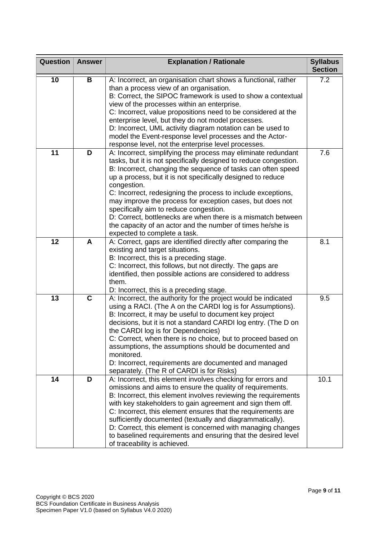| <b>Question</b> | <b>Answer</b> | <b>Explanation / Rationale</b>                                                                                                                                                                                                                                                                                                                                                                                                                                                                                                                                                                                       | <b>Syllabus</b><br><b>Section</b> |
|-----------------|---------------|----------------------------------------------------------------------------------------------------------------------------------------------------------------------------------------------------------------------------------------------------------------------------------------------------------------------------------------------------------------------------------------------------------------------------------------------------------------------------------------------------------------------------------------------------------------------------------------------------------------------|-----------------------------------|
| 10              | В             | A: Incorrect, an organisation chart shows a functional, rather<br>than a process view of an organisation.<br>B: Correct, the SIPOC framework is used to show a contextual<br>view of the processes within an enterprise.<br>C: Incorrect, value propositions need to be considered at the<br>enterprise level, but they do not model processes.<br>D: Incorrect, UML activity diagram notation can be used to<br>model the Event-response level processes and the Actor-<br>response level, not the enterprise level processes.                                                                                      | 7.2                               |
| 11              | D             | A: Incorrect, simplifying the process may eliminate redundant<br>tasks, but it is not specifically designed to reduce congestion.<br>B: Incorrect, changing the sequence of tasks can often speed<br>up a process, but it is not specifically designed to reduce<br>congestion.<br>C: Incorrect, redesigning the process to include exceptions,<br>may improve the process for exception cases, but does not<br>specifically aim to reduce congestion.<br>D: Correct, bottlenecks are when there is a mismatch between<br>the capacity of an actor and the number of times he/she is<br>expected to complete a task. | 7.6                               |
| 12              | A             | A: Correct, gaps are identified directly after comparing the<br>existing and target situations.<br>B: Incorrect, this is a preceding stage.<br>C: Incorrect, this follows, but not directly. The gaps are<br>identified, then possible actions are considered to address<br>them.<br>D: Incorrect, this is a preceding stage.                                                                                                                                                                                                                                                                                        | 8.1                               |
| 13              | $\mathbf{C}$  | A: Incorrect, the authority for the project would be indicated<br>using a RACI. (The A on the CARDI log is for Assumptions).<br>B: Incorrect, it may be useful to document key project<br>decisions, but it is not a standard CARDI log entry. (The D on<br>the CARDI log is for Dependencies)<br>C: Correct, when there is no choice, but to proceed based on<br>assumptions, the assumptions should be documented and<br>monitored.<br>D: Incorrect, requirements are documented and managed<br>separately. (The R of CARDI is for Risks)                                                                          | 9.5                               |
| 14              | D             | A: Incorrect, this element involves checking for errors and<br>omissions and aims to ensure the quality of requirements.<br>B: Incorrect, this element involves reviewing the requirements<br>with key stakeholders to gain agreement and sign them off.<br>C: Incorrect, this element ensures that the requirements are<br>sufficiently documented (textually and diagrammatically).<br>D: Correct, this element is concerned with managing changes<br>to baselined requirements and ensuring that the desired level<br>of traceability is achieved.                                                                | 10.1                              |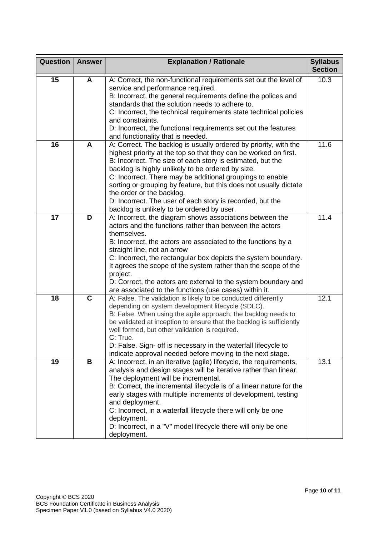| <b>Question</b> | <b>Answer</b>           | <b>Explanation / Rationale</b>                                                                                                                                                                                                                                                                                                                                                                                                                                                                                                    | <b>Syllabus</b><br><b>Section</b> |
|-----------------|-------------------------|-----------------------------------------------------------------------------------------------------------------------------------------------------------------------------------------------------------------------------------------------------------------------------------------------------------------------------------------------------------------------------------------------------------------------------------------------------------------------------------------------------------------------------------|-----------------------------------|
| 15              | $\overline{\mathsf{A}}$ | A: Correct, the non-functional requirements set out the level of<br>service and performance required.<br>B: Incorrect, the general requirements define the polices and<br>standards that the solution needs to adhere to.<br>C: Incorrect, the technical requirements state technical policies<br>and constraints.<br>D: Incorrect, the functional requirements set out the features<br>and functionality that is needed.                                                                                                         | 10.3                              |
| 16              | A                       | A: Correct. The backlog is usually ordered by priority, with the<br>highest priority at the top so that they can be worked on first.<br>B: Incorrect. The size of each story is estimated, but the<br>backlog is highly unlikely to be ordered by size.<br>C: Incorrect. There may be additional groupings to enable<br>sorting or grouping by feature, but this does not usually dictate<br>the order or the backlog.<br>D: Incorrect. The user of each story is recorded, but the<br>backlog is unlikely to be ordered by user. | 11.6                              |
| 17              | D                       | A: Incorrect, the diagram shows associations between the<br>actors and the functions rather than between the actors<br>themselves.<br>B: Incorrect, the actors are associated to the functions by a<br>straight line, not an arrow<br>C: Incorrect, the rectangular box depicts the system boundary.<br>It agrees the scope of the system rather than the scope of the<br>project.<br>D: Correct, the actors are external to the system boundary and<br>are associated to the functions (use cases) within it.                    | 11.4                              |
| 18              | $\mathbf C$             | A: False. The validation is likely to be conducted differently<br>depending on system development lifecycle (SDLC).<br>B: False. When using the agile approach, the backlog needs to<br>be validated at inception to ensure that the backlog is sufficiently<br>well formed, but other validation is required.<br>C: True.<br>D: False. Sign- off is necessary in the waterfall lifecycle to<br>indicate approval needed before moving to the next stage.                                                                         | 12.1                              |
| 19              | B                       | A: Incorrect, in an iterative (agile) lifecycle, the requirements,<br>analysis and design stages will be iterative rather than linear.<br>The deployment will be incremental.<br>B: Correct, the incremental lifecycle is of a linear nature for the<br>early stages with multiple increments of development, testing<br>and deployment.<br>C: Incorrect, in a waterfall lifecycle there will only be one<br>deployment.<br>D: Incorrect, in a "V" model lifecycle there will only be one<br>deployment.                          | 13.1                              |